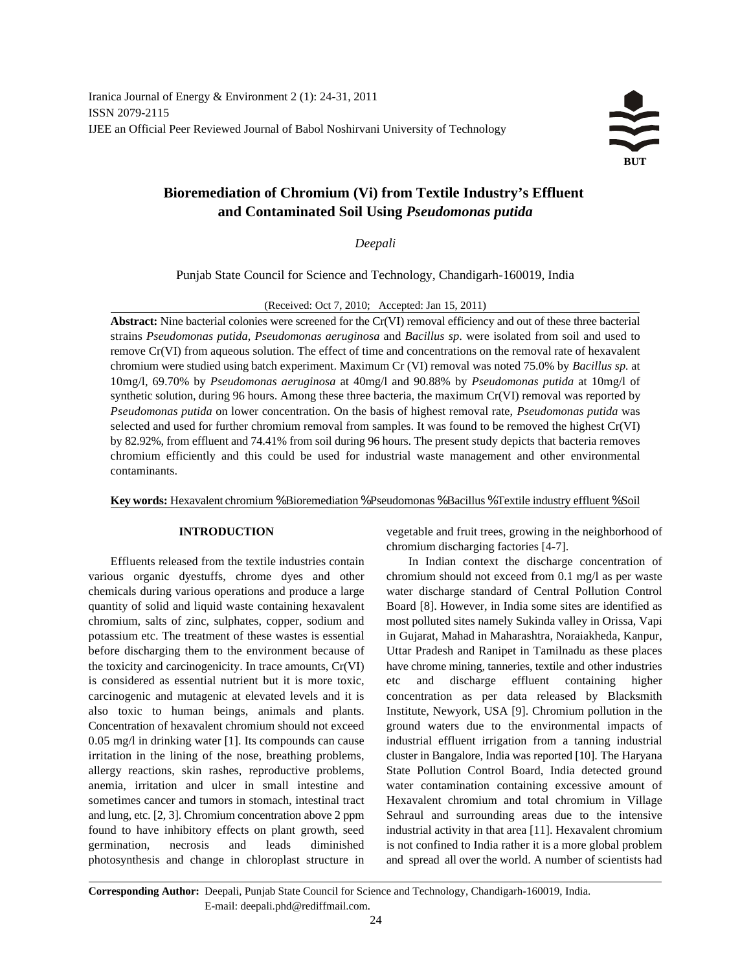## **Bioremediation of Chromium (Vi) from Textile Industry's Effluent and Contaminated Soil Using** *Pseudomonas putida*

*Deepali*

Punjab State Council for Science and Technology, Chandigarh-160019, India

(Received: Oct 7, 2010; Accepted: Jan 15, 2011)

**Abstract:** Nine bacterial colonies were screened for the Cr(VI) removal efficiency and out of these three bacterial strains *Pseudomonas putida*, *Pseudomonas aeruginosa* and *Bacillus sp*. were isolated from soil and used to remove Cr(VI) from aqueous solution. The effect of time and concentrations on the removal rate of hexavalent chromium were studied using batch experiment. Maximum Cr (VI) removal was noted 75.0% by *Bacillus sp.* at 10mg/l, 69.70% by *Pseudomonas aeruginosa* at 40mg/l and 90.88% by *Pseudomonas putida* at 10mg/l of synthetic solution, during 96 hours. Among these three bacteria, the maximum Cr(VI) removal was reported by *Pseudomonas putida* on lower concentration. On the basis of highest removal rate, *Pseudomonas putida* was selected and used for further chromium removal from samples. It was found to be removed the highest Cr(VI) by 82.92%, from effluent and 74.41% from soil during 96 hours. The present study depicts that bacteria removes chromium efficiently and this could be used for industrial waste management and other environmental contaminants.

**Key words:** Hexavalent chromium % Bioremediation % Pseudomonas % Bacillus % Textile industry effluent % Soil

various organic dyestuffs, chrome dyes and other chromium should not exceed from 0.1 mg/l as per waste chemicals during various operations and produce a large water discharge standard of Central Pollution Control quantity of solid and liquid waste containing hexavalent Board [8]. However, in India some sites are identified as chromium, salts of zinc, sulphates, copper, sodium and most polluted sites namely Sukinda valley in Orissa, Vapi potassium etc. The treatment of these wastes is essential in Gujarat, Mahad in Maharashtra, Noraiakheda, Kanpur, before discharging them to the environment because of Uttar Pradesh and Ranipet in Tamilnadu as these places the toxicity and carcinogenicity. In trace amounts, Cr(VI) have chrome mining, tanneries, textile and other industries is considered as essential nutrient but it is more toxic, etc and discharge effluent containing higher carcinogenic and mutagenic at elevated levels and it is concentration as per data released by Blacksmith also toxic to human beings, animals and plants. Institute, Newyork, USA [9]. Chromium pollution in the Concentration of hexavalent chromium should not exceed ground waters due to the environmental impacts of 0.05 mg/l in drinking water [1]. Its compounds can cause industrial effluent irrigation from a tanning industrial irritation in the lining of the nose, breathing problems, cluster in Bangalore, India was reported [10]. The Haryana allergy reactions, skin rashes, reproductive problems, State Pollution Control Board, India detected ground anemia, irritation and ulcer in small intestine and water contamination containing excessive amount of sometimes cancer and tumors in stomach, intestinal tract Hexavalent chromium and total chromium in Village and lung, etc. [2, 3]. Chromium concentration above 2 ppm Sehraul and surrounding areas due to the intensive found to have inhibitory effects on plant growth, seed industrial activity in that area [11]. Hexavalent chromium germination, necrosis and leads diminished is not confined to India rather it is a more global problem photosynthesis and change in chloroplast structure in and spread all over the world. A number of scientists had

**INTRODUCTION** vegetable and fruit trees, growing in the neighborhood of chromium discharging factories [4-7].

Effluents released from the textile industries contain In Indian context the discharge concentration of

**Corresponding Author:** Deepali, Punjab State Council for Science and Technology, Chandigarh-160019, India. E-mail: deepali.phd@rediffmail.com.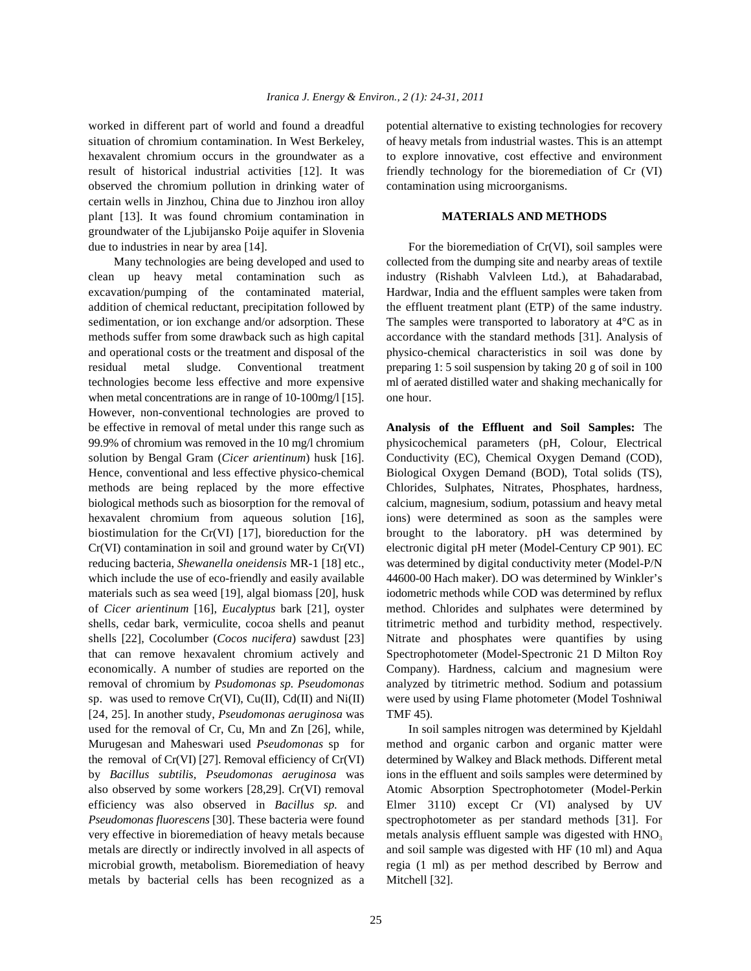worked in different part of world and found a dreadful potential alternative to existing technologies for recovery situation of chromium contamination. In West Berkeley, of heavy metals from industrial wastes. This is an attempt hexavalent chromium occurs in the groundwater as a to explore innovative, cost effective and environment result of historical industrial activities [12]. It was friendly technology for the bioremediation of Cr (VI) observed the chromium pollution in drinking water of contamination using microorganisms. certain wells in Jinzhou, China due to Jinzhou iron alloy plant [13]. It was found chromium contamination in **MATERIALS AND METHODS** groundwater of the Ljubijansko Poije aquifer in Slovenia due to industries in near by area  $[14]$ . For the bioremediation of  $Cr(VI)$ , soil samples were

clean up heavy metal contamination such as industry (Rishabh Valvleen Ltd.), at Bahadarabad, excavation/pumping of the contaminated material, Hardwar, India and the effluent samples were taken from addition of chemical reductant, precipitation followed by the effluent treatment plant (ETP) of the same industry. sedimentation, or ion exchange and/or adsorption. These The samples were transported to laboratory at 4°C as in methods suffer from some drawback such as high capital accordance with the standard methods [31]. Analysis of and operational costs or the treatment and disposal of the physico-chemical characteristics in soil was done by residual metal sludge. Conventional treatment preparing 1: 5 soil suspension by taking 20 g of soil in 100 technologies become less effective and more expensive ml of aerated distilled water and shaking mechanically for when metal concentrations are in range of 10-100mg/l [15]. one hour. However, non-conventional technologies are proved to be effective in removal of metal under this range such as **Analysis of the Effluent and Soil Samples:** The 99.9% of chromium was removed in the 10 mg/l chromium physicochemical parameters (pH, Colour, Electrical solution by Bengal Gram (*Cicer arientinum*) husk [16]. Conductivity (EC), Chemical Oxygen Demand (COD), Hence, conventional and less effective physico-chemical Biological Oxygen Demand (BOD), Total solids (TS), methods are being replaced by the more effective Chlorides, Sulphates, Nitrates, Phosphates, hardness, biological methods such as biosorption for the removal of calcium, magnesium, sodium, potassium and heavy metal hexavalent chromium from aqueous solution [16], ions) were determined as soon as the samples were biostimulation for the Cr(VI) [17], bioreduction for the brought to the laboratory. pH was determined by Cr(VI) contamination in soil and ground water by Cr(VI) electronic digital pH meter (Model-Century CP 901). EC reducing bacteria, *Shewanella oneidensis* MR-1 [18] etc., was determined by digital conductivity meter (Model-P/N which include the use of eco-friendly and easily available 44600-00 Hach maker). DO was determined by Winkler's materials such as sea weed [19], algal biomass [20], husk iodometric methods while COD was determined by reflux of *Cicer arientinum* [16], *Eucalyptus* bark [21], oyster method. Chlorides and sulphates were determined by shells, cedar bark, vermiculite, cocoa shells and peanut titrimetric method and turbidity method, respectively. shells [22], Cocolumber (*Cocos nucifera*) sawdust [23] Nitrate and phosphates were quantifies by using that can remove hexavalent chromium actively and Spectrophotometer (Model-Spectronic 21 D Milton Roy economically. A number of studies are reported on the Company). Hardness, calcium and magnesium were removal of chromium by *Psudomonas sp. Pseudomonas* analyzed by titrimetric method. Sodium and potassium sp. was used to remove Cr(VI), Cu(II), Cd(II) and Ni(II) were used by using Flame photometer (Model Toshniwal [24, 25]. In another study, *Pseudomonas aeruginosa* was TMF 45). used for the removal of Cr, Cu, Mn and Zn [26], while, In soil samples nitrogen was determined by Kjeldahl Murugesan and Maheswari used *Pseudomonas* sp for method and organic carbon and organic matter were the removal of Cr(VI) [27]. Removal efficiency of Cr(VI) determined by Walkey and Black methods. Different metal by *Bacillus subtilis, Pseudomonas aeruginosa* was ions in the effluent and soils samples were determined by also observed by some workers [28,29]. Cr(VI) removal Atomic Absorption Spectrophotometer (Model-Perkin efficiency was also observed in *Bacillus sp.* and Elmer 3110) except Cr (VI) analysed by UV *Pseudomonas fluorescens* [30]. These bacteria were found spectrophotometer as per standard methods [31]. For very effective in bioremediation of heavy metals because metals are directly or indirectly involved in all aspects of and soil sample was digested with HF (10 ml) and Aqua microbial growth, metabolism. Bioremediation of heavy regia (1 ml) as per method described by Berrow and metals by bacterial cells has been recognized as a Mitchell [32].

Many technologies are being developed and used to collected from the dumping site and nearby areas of textile

metals analysis effluent sample was digested with HNO<sub>3</sub>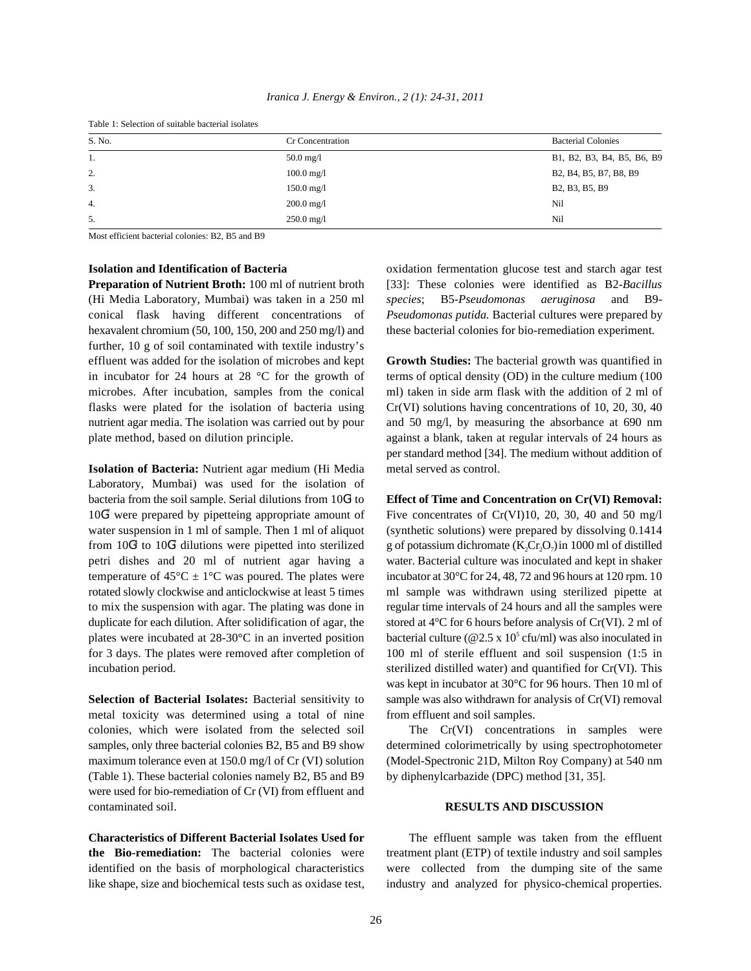| Table 1: Selection of suitable bacterial isolates |                         |                            |  |  |
|---------------------------------------------------|-------------------------|----------------------------|--|--|
| S. No.                                            | Cr Concentration        | <b>Bacterial Colonies</b>  |  |  |
| 1.                                                | $50.0$ mg/l             | B1, B2, B3, B4, B5, B6, B9 |  |  |
| 2.                                                | $100.0 \,\mathrm{mg}/l$ | B2, B4, B5, B7, B8, B9     |  |  |
| 3.                                                | $150.0 \text{ mg}/1$    | B2, B3, B5, B9             |  |  |
| 4.                                                | $200.0 \text{ mg}/1$    | Nil                        |  |  |
| 5.                                                | $250.0 \text{ mg}/1$    | Nil                        |  |  |

*Iranica J. Energy & Environ., 2 (1): 24-31, 2011*

Most efficient bacterial colonies: B2, B5 and B9

(Hi Media Laboratory, Mumbai) was taken in a 250 ml *species*; B5-*Pseudomonas aeruginosa* and B9 conical flask having different concentrations of *Pseudomonas putida.* Bacterial cultures were prepared by hexavalent chromium (50, 100, 150, 200 and 250 mg/l) and these bacterial colonies for bio-remediation experiment. further, 10 g of soil contaminated with textile industry's effluent was added for the isolation of microbes and kept **Growth Studies:** The bacterial growth was quantified in in incubator for 24 hours at 28  $^{\circ}$ C for the growth of terms of optical density (OD) in the culture medium (100 microbes. After incubation, samples from the conical ml) taken in side arm flask with the addition of 2 ml of flasks were plated for the isolation of bacteria using  $Cr(VI)$  solutions having concentrations of 10, 20, 30, 40 nutrient agar media. The isolation was carried out by pour and 50 mg/l, by measuring the absorbance at 690 nm plate method, based on dilution principle. against a blank, taken at regular intervals of 24 hours as

**Isolation of Bacteria:** Nutrient agar medium (Hi Media metal served as control. Laboratory, Mumbai) was used for the isolation of bacteria from the soil sample. Serial dilutions from 10G<sup>1</sup> to **Effect of Time and Concentration on Cr(VI) Removal:**  $10<sup>67</sup>$  were prepared by pipetteing appropriate amount of water suspension in 1 ml of sample. Then 1 ml of aliquot (synthetic solutions) were prepared by dissolving 0.1414 from 10G<sup>4</sup> to 10G<sup>7</sup> dilutions were pipetted into sterilized g of potassium dichromate (K<sub>2</sub>Cr<sub>2</sub>O<sub>7</sub>) in 1000 ml of distilled from  $10G<sup>4</sup>$  to  $10G<sup>7</sup>$  dilutions were pipetted into sterilized petri dishes and 20 ml of nutrient agar having a water. Bacterial culture was inoculated and kept in shaker temperature of  $45^{\circ}$ C  $\pm$  1°C was poured. The plates were incubator at 30°C for 24, 48, 72 and 96 hours at 120 rpm. 10 rotated slowly clockwise and anticlockwise at least 5 times ml sample was withdrawn using sterilized pipette at to mix the suspension with agar. The plating was done in regular time intervals of 24 hours and all the samples were duplicate for each dilution. After solidification of agar, the stored at  $4^{\circ}$ C for 6 hours before analysis of Cr(VI). 2 ml of plates were incubated at 28-30°C in an inverted position bacterial culture (@2.5 x 10<sup>5</sup> cfu/ml) was also inoculated in for 3 days. The plates were removed after completion of 100 ml of sterile effluent and soil suspension (1:5 in incubation period. sterilized distilled water) and quantified for Cr(VI). This

metal toxicity was determined using a total of nine from effluent and soil samples. colonies, which were isolated from the selected soil The Cr(VI) concentrations in samples were samples, only three bacterial colonies B2, B5 and B9 show determined colorimetrically by using spectrophotometer maximum tolerance even at 150.0 mg/l of Cr (VI) solution (Model-Spectronic 21D, Milton Roy Company) at 540 nm (Table 1). These bacterial colonies namely B2, B5 and B9 by diphenylcarbazide (DPC) method [31, 35]. were used for bio-remediation of Cr (VI) from effluent and contaminated soil. **RESULTS AND DISCUSSION**

**the Bio-remediation:** The bacterial colonies were treatment plant (ETP) of textile industry and soil samples identified on the basis of morphological characteristics were collected from the dumping site of the same like shape, size and biochemical tests such as oxidase test, industry and analyzed for physico-chemical properties.

**Isolation and Identification of Bacteria oxidation fermentation glucose test and starch agar test Preparation of Nutrient Broth:** 100 ml of nutrient broth [33]: These colonies were identified as B2-*Bacillus*

per standard method [34]. The medium without addition of

Five concentrates of Cr(VI)10, 20, 30, 40 and 50 mg/l **Selection of Bacterial Isolates:** Bacterial sensitivity to sample was also withdrawn for analysis of Cr(VI) removal was kept in incubator at 30°C for 96 hours. Then 10 ml of

**Characteristics of Different Bacterial Isolates Used for** The effluent sample was taken from the effluent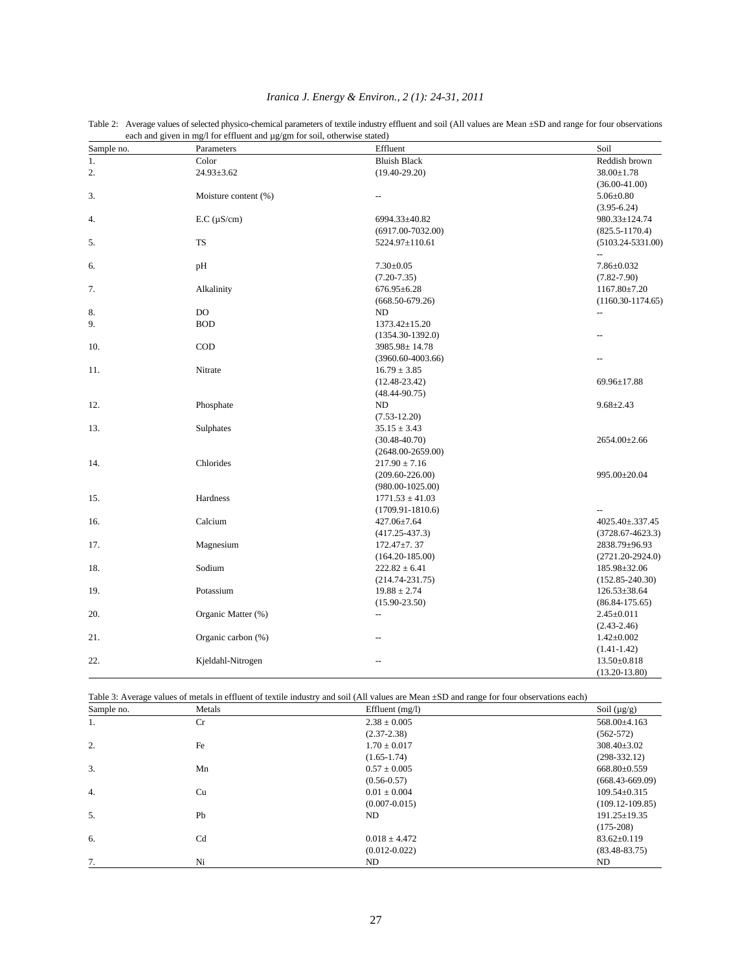| Sample no. | Parameters           | Effluent              | Soil                     |
|------------|----------------------|-----------------------|--------------------------|
| 1.         | Color                | <b>Bluish Black</b>   | Reddish brown            |
| 2.         | 24.93±3.62           | $(19.40 - 29.20)$     | 38.00±1.78               |
|            |                      |                       | $(36.00 - 41.00)$        |
| 3.         | Moisture content (%) | $\overline{a}$        | $5.06 \pm 0.80$          |
|            |                      |                       | $(3.95 - 6.24)$          |
| 4.         | $E.C. (\mu S/cm)$    | 6994.33±40.82         | 980.33±124.74            |
|            |                      | $(6917.00-7032.00)$   | $(825.5 - 1170.4)$       |
| 5.         | <b>TS</b>            | 5224.97±110.61        | $(5103.24 - 5331.00)$    |
|            |                      |                       | $\overline{\phantom{a}}$ |
| 6.         | pH                   | $7.30 \pm 0.05$       | 7.86±0.032               |
|            |                      | $(7.20 - 7.35)$       | $(7.82 - 7.90)$          |
| 7.         | Alkalinity           | $676.95 \pm 6.28$     | $1167.80 \pm 7.20$       |
|            |                      | $(668.50 - 679.26)$   | $(1160.30 - 1174.65)$    |
| 8.         | DO                   | ND                    | --                       |
| 9.         | <b>BOD</b>           | $1373.42 \pm 15.20$   |                          |
|            |                      | $(1354.30-1392.0)$    | --                       |
| 10.        | COD                  | 3985.98±14.78         |                          |
|            |                      | $(3960.60 - 4003.66)$ |                          |
| 11.        | Nitrate              | $16.79 \pm 3.85$      |                          |
|            |                      | $(12.48 - 23.42)$     | 69.96±17.88              |
|            |                      | $(48.44 - 90.75)$     |                          |
| 12.        | Phosphate            | ND                    | $9.68 \pm 2.43$          |
|            |                      | $(7.53 - 12.20)$      |                          |
| 13.        | Sulphates            | $35.15 \pm 3.43$      |                          |
|            |                      | $(30.48 - 40.70)$     | 2654.00±2.66             |
|            |                      | $(2648.00 - 2659.00)$ |                          |
| 14.        | Chlorides            | $217.90 \pm 7.16$     |                          |
|            |                      | $(209.60 - 226.00)$   | 995.00±20.04             |
|            |                      | $(980.00 - 1025.00)$  |                          |
| 15.        | Hardness             | $1771.53 \pm 41.03$   |                          |
|            |                      | $(1709.91 - 1810.6)$  |                          |
| 16.        | Calcium              | 427.06±7.64           | 4025.40±.337.45          |
|            |                      | $(417.25 - 437.3)$    | $(3728.67 - 4623.3)$     |
| 17.        | Magnesium            | $172.47 \pm 7.37$     | 2838.79±96.93            |
|            |                      | $(164.20 - 185.00)$   | $(2721.20 - 2924.0)$     |
| 18.        | Sodium               | $222.82 \pm 6.41$     | 185.98±32.06             |
|            |                      | $(214.74 - 231.75)$   | $(152.85 - 240.30)$      |
| 19.        | Potassium            | $19.88 \pm 2.74$      | 126.53±38.64             |
|            |                      | $(15.90 - 23.50)$     | $(86.84 - 175.65)$       |
| 20.        | Organic Matter (%)   | $-$                   | $2.45 \pm 0.011$         |
|            |                      |                       | $(2.43 - 2.46)$          |
| 21.        | Organic carbon (%)   |                       | $1.42 \pm 0.002$         |
|            |                      |                       | $(1.41 - 1.42)$          |
| 22.        | Kjeldahl-Nitrogen    |                       | $13.50 \pm 0.818$        |
|            |                      |                       | $(13.20 - 13.80)$        |

# *Iranica J. Energy & Environ., 2 (1): 24-31, 2011*

Table 2: Average values of selected physico-chemical parameters of textile industry effluent and soil (All values are Mean ±SD and range for four observations

Table 3: Average values of metals in effluent of textile industry and soil (All values are Mean ±SD and range for four observations each)

| Sample no.       | Metals         | Effluent $(mg/l)$ | Soil $(\mu g/g)$      |
|------------------|----------------|-------------------|-----------------------|
| 1.               | Cr             | $2.38 \pm 0.005$  | $568.00\text{±}4.163$ |
|                  |                | $(2.37 - 2.38)$   | $(562 - 572)$         |
| 2.               | Fe             | $1.70 \pm 0.017$  | $308.40 \pm 3.02$     |
|                  |                | $(1.65-1.74)$     | $(298-332.12)$        |
| 3.               | Mn             | $0.57 \pm 0.005$  | $668.80\pm0.559$      |
|                  |                | $(0.56 - 0.57)$   | $(668.43 - 669.09)$   |
| $\overline{4}$ . | Cu             | $0.01 \pm 0.004$  | $109.54 \pm 0.315$    |
|                  |                | $(0.007 - 0.015)$ | $(109.12 - 109.85)$   |
| 5.               | Pb             | ND                | $191.25 \pm 19.35$    |
|                  |                |                   | $(175-208)$           |
| 6.               | C <sub>d</sub> | $0.018 \pm 4.472$ | $83.62 \pm 0.119$     |
|                  |                | $(0.012 - 0.022)$ | $(83.48 - 83.75)$     |
| 7.               | Ni             | ND                | ND                    |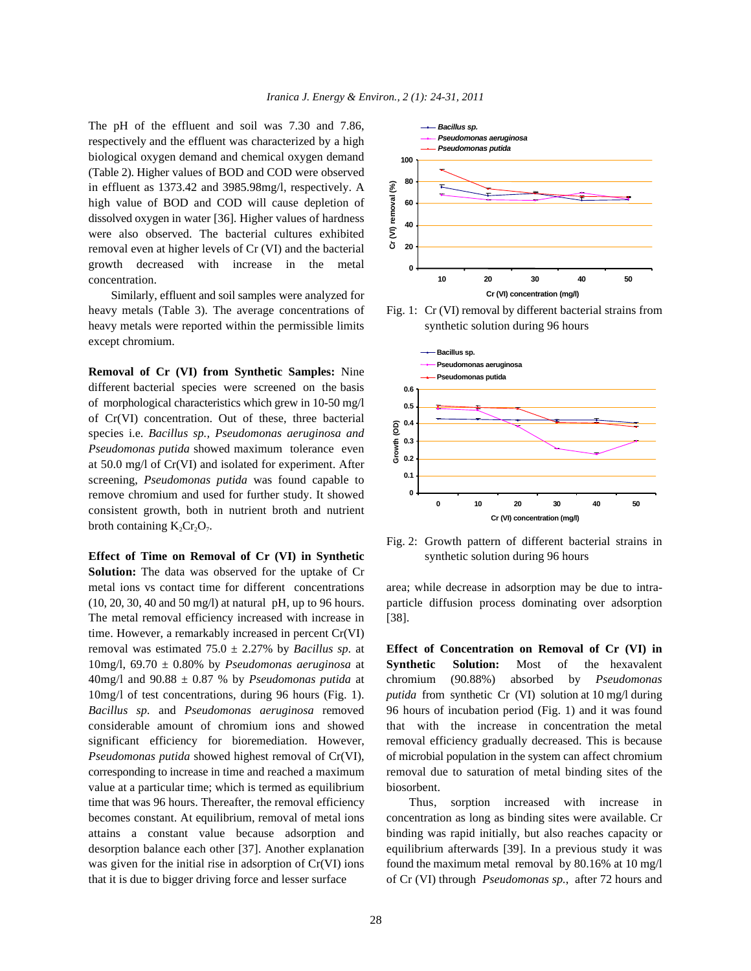The pH of the effluent and soil was 7.30 and 7.86, respectively and the effluent was characterized by a high biological oxygen demand and chemical oxygen demand (Table 2). Higher values of BOD and COD were observed in effluent as 1373.42 and 3985.98mg/l, respectively. A high value of BOD and COD will cause depletion of dissolved oxygen in water [36]. Higher values of hardness were also observed. The bacterial cultures exhibited removal even at higher levels of Cr (VI) and the bacterial growth decreased with increase in the metal concentration.

Similarly, effluent and soil samples were analyzed for heavy metals (Table 3). The average concentrations of Fig. 1: Cr (VI) removal by different bacterial strains from heavy metals were reported within the permissible limits synthetic solution during 96 hours except chromium.

**Removal of Cr (VI) from Synthetic Samples:** Nine different bacterial species were screened on the basis of morphological characteristics which grew in 10-50 mg/l of Cr(VI) concentration. Out of these, three bacterial species i.e. *Bacillus sp., Pseudomonas aeruginosa and Pseudomonas putida* showed maximum tolerance even at 50.0 mg/l of Cr(VI) and isolated for experiment. After screening, *Pseudomonas putida* was found capable to remove chromium and used for further study. It showed consistent growth, both in nutrient broth and nutrient broth containing  $K_2Cr_2O_7$ .

**Solution:** The data was observed for the uptake of Cr metal ions vs contact time for different concentrations area; while decrease in adsorption may be due to intra- (10, 20, 30, 40 and 50 mg/l) at natural pH, up to 96 hours. particle diffusion process dominating over adsorption The metal removal efficiency increased with increase in [38]. time. However, a remarkably increased in percent Cr(VI) removal was estimated 75.0 ± 2.27% by *Bacillus sp.* at **Effect of Concentration on Removal of Cr (VI) in** 10mg/l, 69.70 ± 0.80% by *Pseudomonas aeruginosa* at **Synthetic Solution:** Most of the hexavalent 40mg/l and 90.88 ± 0.87 % by *Pseudomonas putida* at chromium (90.88%) absorbed by *Pseudomonas* 10mg/l of test concentrations, during 96 hours (Fig. 1). *putida* from synthetic Cr (VI) solution at 10 mg/l during *Bacillus sp.* and *Pseudomonas aeruginosa* removed 96 hours of incubation period (Fig. 1) and it was found considerable amount of chromium ions and showed that with the increase in concentration the metal significant efficiency for bioremediation. However, removal efficiency gradually decreased. This is because *Pseudomonas putida* showed highest removal of Cr(VI), of microbial population in the system can affect chromium corresponding to increase in time and reached a maximum removal due to saturation of metal binding sites of the value at a particular time; which is termed as equilibrium biosorbent. time that was 96 hours. Thereafter, the removal efficiency Thus, sorption increased with increase in becomes constant. At equilibrium, removal of metal ions concentration as long as binding sites were available. Cr attains a constant value because adsorption and binding was rapid initially, but also reaches capacity or desorption balance each other [37]. Another explanation equilibrium afterwards [39]. In a previous study it was was given for the initial rise in adsorption of Cr(VI) ions found the maximum metal removal by 80.16% at 10 mg/l that it is due to bigger driving force and lesser surface of Cr (VI) through *Pseudomonas sp.*, after 72 hours and





**Effect of Time on Removal of Cr (VI) in Synthetic synthetic solution during 96 hours** Fig. 2: Growth pattern of different bacterial strains in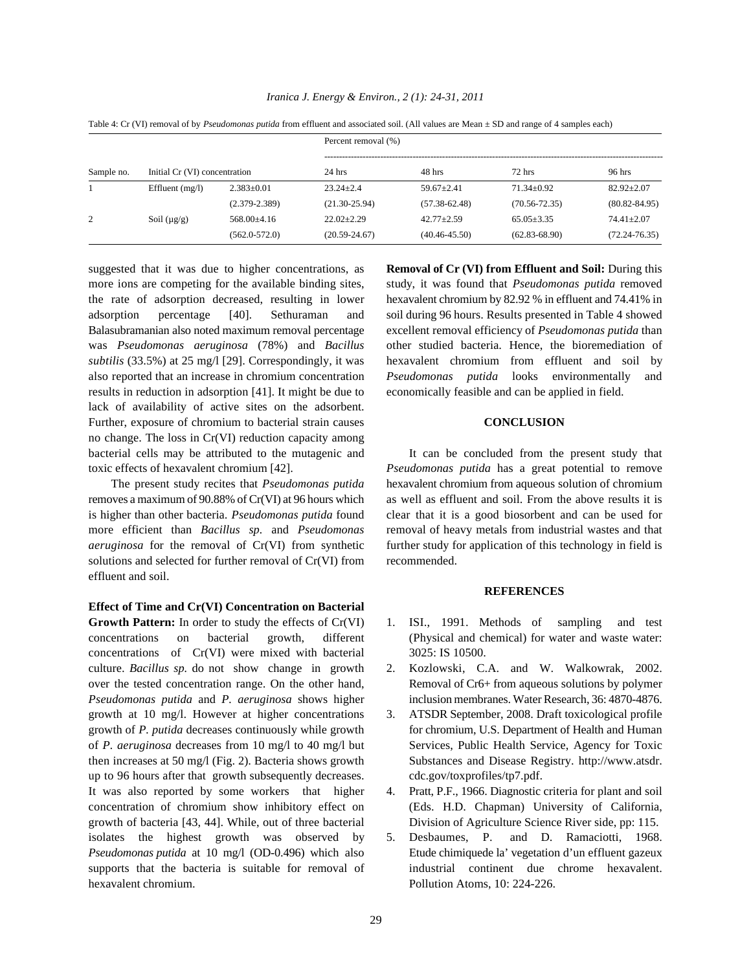|            |                               |                   | Percent removal (%) |                   |                   |                   |
|------------|-------------------------------|-------------------|---------------------|-------------------|-------------------|-------------------|
| Sample no. | Initial Cr (VI) concentration |                   | $24$ hrs            | 48 hrs            | $72$ hrs          | 96 hrs            |
|            | Effluent $(mg/l)$             | $2.383 \pm 0.01$  | $23.24 + 2.4$       | $59.67 \pm 2.41$  | $71.34 \pm 0.92$  | $82.92 \pm 2.07$  |
|            |                               | $(2.379 - 2.389)$ | $(21.30 - 25.94)$   | $(57.38 - 62.48)$ | $(70.56 - 72.35)$ | $(80.82 - 84.95)$ |
| 2          | Soil $(\mu g/g)$              | $568.00\pm4.16$   | $22.02+2.29$        | $42.77 \pm 2.59$  | $65.05 \pm 3.35$  | $74.41 \pm 2.07$  |
|            |                               | $(562.0 - 572.0)$ | $(20.59 - 24.67)$   | $(40.46 - 45.50)$ | $(62.83 - 68.90)$ | $(72.24 - 76.35)$ |

*Iranica J. Energy & Environ., 2 (1): 24-31, 2011*

Table 4: Cr (VI) removal of by *Pseudomonas putida* from effluent and associated soil. (All values are Mean ± SD and range of 4 samples each)

suggested that it was due to higher concentrations, as **Removal of Cr (VI) from Effluent and Soil:** During this more ions are competing for the available binding sites, study, it was found that *Pseudomonas putida* removed the rate of adsorption decreased, resulting in lower hexavalent chromium by 82.92 % in effluent and 74.41% in adsorption percentage [40]. Sethuraman and soil during 96 hours. Results presented in Table 4 showed Balasubramanian also noted maximum removal percentage excellent removal efficiency of *Pseudomonas putida* than was *Pseudomonas aeruginosa* (78%) and *Bacillus* other studied bacteria. Hence, the bioremediation of *subtilis* (33.5%) at 25 mg/l [29]. Correspondingly, it was hexavalent chromium from effluent and soil by also reported that an increase in chromium concentration *Pseudomonas putida* looks environmentally and results in reduction in adsorption [41]. It might be due to economically feasible and can be applied in field. lack of availability of active sites on the adsorbent. Further, exposure of chromium to bacterial strain causes **CONCLUSION** no change. The loss in Cr(VI) reduction capacity among bacterial cells may be attributed to the mutagenic and It can be concluded from the present study that toxic effects of hexavalent chromium [42]. *Pseudomonas putida* has a great potential to remove

removes a maximum of 90.88% of Cr(VI) at 96 hours which as well as effluent and soil. From the above results it is is higher than other bacteria. *Pseudomonas putida* found clear that it is a good biosorbent and can be used for more efficient than *Bacillus sp.* and *Pseudomonas* removal of heavy metals from industrial wastes and that *aeruginosa* for the removal of Cr(VI) from synthetic further study for application of this technology in field is solutions and selected for further removal of Cr(VI) from recommended. effluent and soil.

**Effect of Time and Cr(VI) Concentration on Bacterial** Growth Pattern: In order to study the effects of Cr(VI) 1. ISI., 1991. Methods of sampling and test concentrations on bacterial growth, different (Physical and chemical) for water and waste water: concentrations of Cr(VI) were mixed with bacterial 3025: IS 10500. culture. *Bacillus sp.* do not show change in growth 2. Kozlowski, C.A. and W. Walkowrak, 2002. over the tested concentration range. On the other hand, Removal of Cr6+ from aqueous solutions by polymer *Pseudomonas putida* and *P. aeruginosa* shows higher inclusion membranes. Water Research, 36: 4870-4876. growth at 10 mg/l. However at higher concentrations 3. ATSDR September, 2008. Draft toxicological profile growth of *P. putida* decreases continuously while growth for chromium, U.S. Department of Health and Human of *P. aeruginosa* decreases from 10 mg/l to 40 mg/l but Services, Public Health Service, Agency for Toxic then increases at 50 mg/l (Fig. 2). Bacteria shows growth Substances and Disease Registry. http://www.atsdr. up to 96 hours after that growth subsequently decreases. cdc.gov/toxprofiles/tp7.pdf. It was also reported by some workers that higher 4. Pratt, P.F., 1966. Diagnostic criteria for plant and soil concentration of chromium show inhibitory effect on (Eds. H.D. Chapman) University of California, growth of bacteria [43, 44]. While, out of three bacterial Division of Agriculture Science River side, pp: 115. isolates the highest growth was observed by 5. Desbaumes, P. and D. Ramaciotti, 1968. *Pseudomonas putida* at 10 mg/l (OD-0.496) which also Etude chimiquede la' vegetation d'un effluent gazeux supports that the bacteria is suitable for removal of industrial continent due chrome hexavalent. hexavalent chromium. Pollution Atoms, 10: 224-226.

The present study recites that *Pseudomonas putida* hexavalent chromium from aqueous solution of chromium

### **REFERENCES**

- 
- 
- 
- 
-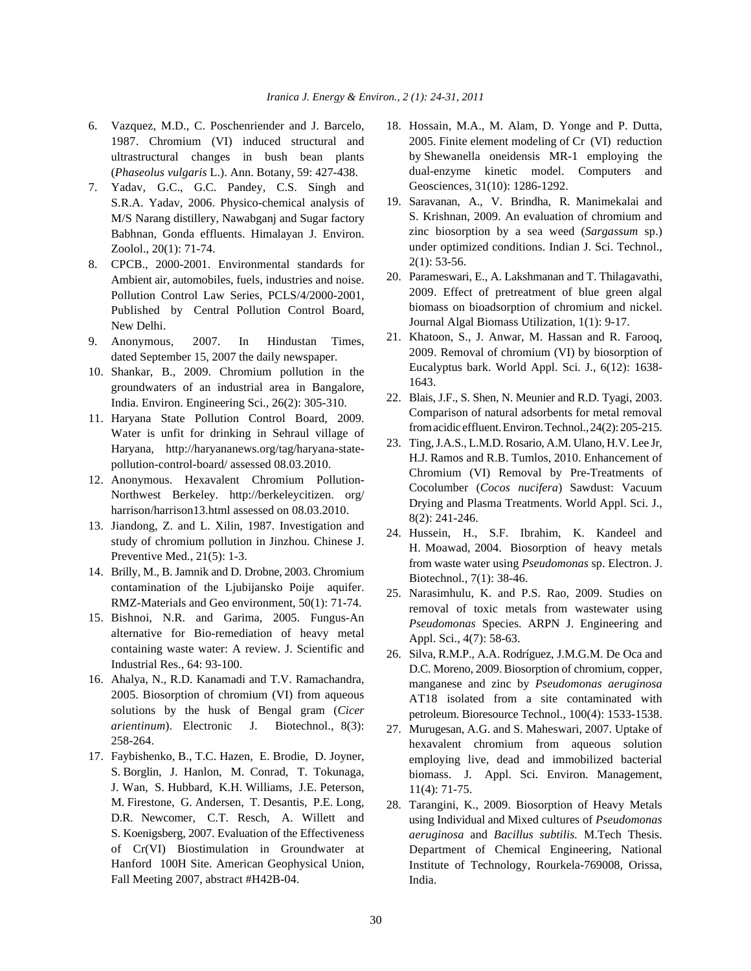- 6. Vazquez, M.D., C. Poschenriender and J. Barcelo, 18. Hossain, M.A., M. Alam, D. Yonge and P. Dutta, 1987. Chromium (VI) induced structural and ultrastructural changes in bush bean plants (*Phaseolus vulgaris* L.). Ann. Botany, 59: 427-438.
- 7. Yadav, G.C., G.C. Pandey, C.S. Singh and S.R.A. Yadav, 2006. Physico-chemical analysis of M/S Narang distillery, Nawabganj and Sugar factory Babhnan, Gonda effluents. Himalayan J. Environ. Zoolol., 20(1): 71-74.
- 8. CPCB., 2000-2001. Environmental standards for Ambient air, automobiles, fuels, industries and noise. Pollution Control Law Series, PCLS/4/2000-2001, Published by Central Pollution Control Board, New Delhi.
- 9. Anonymous, 2007. In Hindustan Times, dated September 15, 2007 the daily newspaper.
- 10. Shankar, B., 2009. Chromium pollution in the groundwaters of an industrial area in Bangalore, India. Environ. Engineering Sci., 26(2): 305-310.
- 11. Haryana State Pollution Control Board, 2009. Water is unfit for drinking in Sehraul village of Haryana, http://haryananews.org/tag/haryana-statepollution-control-board/ assessed 08.03.2010.
- 12. Anonymous. Hexavalent Chromium Pollution-Northwest Berkeley. http://berkeleycitizen. org/ harrison/harrison13.html assessed on 08.03.2010.
- 13. Jiandong, Z. and L. Xilin, 1987. Investigation and study of chromium pollution in Jinzhou. Chinese J. Preventive Med., 21(5): 1-3.
- 14. Brilly, M., B. Jamnik and D. Drobne, 2003. Chromium contamination of the Ljubijansko Poije aquifer. RMZ-Materials and Geo environment, 50(1): 71-74.
- 15. Bishnoi, N.R. and Garima, 2005. Fungus-An alternative for Bio-remediation of heavy metal containing waste water: A review. J. Scientific and Industrial Res., 64: 93-100.
- 16. Ahalya, N., R.D. Kanamadi and T.V. Ramachandra, 2005. Biosorption of chromium (VI) from aqueous solutions by the husk of Bengal gram (*Cicer arientinum*). Electronic J. Biotechnol., 8(3): 258-264.
- 17. Faybishenko, B., T.C. Hazen, E. Brodie, D. Joyner, S. Borglin, J. Hanlon, M. Conrad, T. Tokunaga, J. Wan, S. Hubbard, K.H. Williams, J.E. Peterson, M. Firestone, G. Andersen, T. Desantis, P.E. Long, D.R. Newcomer, C.T. Resch, A. Willett and S. Koenigsberg, 2007. Evaluation of the Effectiveness of Cr(VI) Biostimulation in Groundwater at Hanford 100H Site. American Geophysical Union, Fall Meeting 2007, abstract #H42B-04.
- 2005. Finite element modeling of Cr (VI) reduction by Shewanella oneidensis MR-1 employing the dual-enzyme kinetic model. Computers and Geosciences, 31(10): 1286-1292.
- 19. Saravanan, A., V. Brindha, R. Manimekalai and S. Krishnan, 2009. An evaluation of chromium and zinc biosorption by a sea weed (*Sargassum* sp.) under optimized conditions. Indian J. Sci. Technol., 2(1): 53-56.
- 20. Parameswari, E., A. Lakshmanan and T. Thilagavathi, 2009. Effect of pretreatment of blue green algal biomass on bioadsorption of chromium and nickel. Journal Algal Biomass Utilization, 1(1): 9-17.
- 21. Khatoon, S., J. Anwar, M. Hassan and R. Farooq, 2009. Removal of chromium (VI) by biosorption of Eucalyptus bark. World Appl. Sci. J., 6(12): 1638- 1643.
- 22. Blais, J.F., S. Shen, N. Meunier and R.D. Tyagi, 2003. Comparison of natural adsorbents for metal removal from acidic effluent. Environ. Technol.,24(2): 205-215.
- 23. Ting,J.A.S., L.M.D. Rosario, A.M. Ulano, H.V. Lee Jr, H.J. Ramos and R.B. Tumlos, 2010. Enhancement of Chromium (VI) Removal by Pre-Treatments of Cocolumber (*Cocos nucifera*) Sawdust: Vacuum Drying and Plasma Treatments. World Appl. Sci. J., 8(2): 241-246.
- 24. Hussein, H., S.F. Ibrahim, K. Kandeel and H. Moawad, 2004. Biosorption of heavy metals from waste water using *Pseudomonas* sp. Electron. J. Biotechnol., 7(1): 38-46.
- 25. Narasimhulu, K. and P.S. Rao, 2009. Studies on removal of toxic metals from wastewater using *Pseudomonas* Species. ARPN J. Engineering and Appl. Sci., 4(7): 58-63.
- 26. Silva, R.M.P., A.A. Rodríguez, J.M.G.M. De Oca and D.C. Moreno, 2009. Biosorption of chromium, copper, manganese and zinc by *Pseudomonas aeruginosa* AT18 isolated from a site contaminated with petroleum. Bioresource Technol., 100(4): 1533-1538.
- 27. Murugesan, A.G. and S. Maheswari, 2007. Uptake of hexavalent chromium from aqueous solution employing live, dead and immobilized bacterial biomass. J. Appl. Sci. Environ. Management, 11(4): 71-75.
- 28. Tarangini, K., 2009. Biosorption of Heavy Metals using Individual and Mixed cultures of *Pseudomonas aeruginosa* and *Bacillus subtilis.* M.Tech Thesis. Department of Chemical Engineering, National Institute of Technology, Rourkela-769008, Orissa, India.